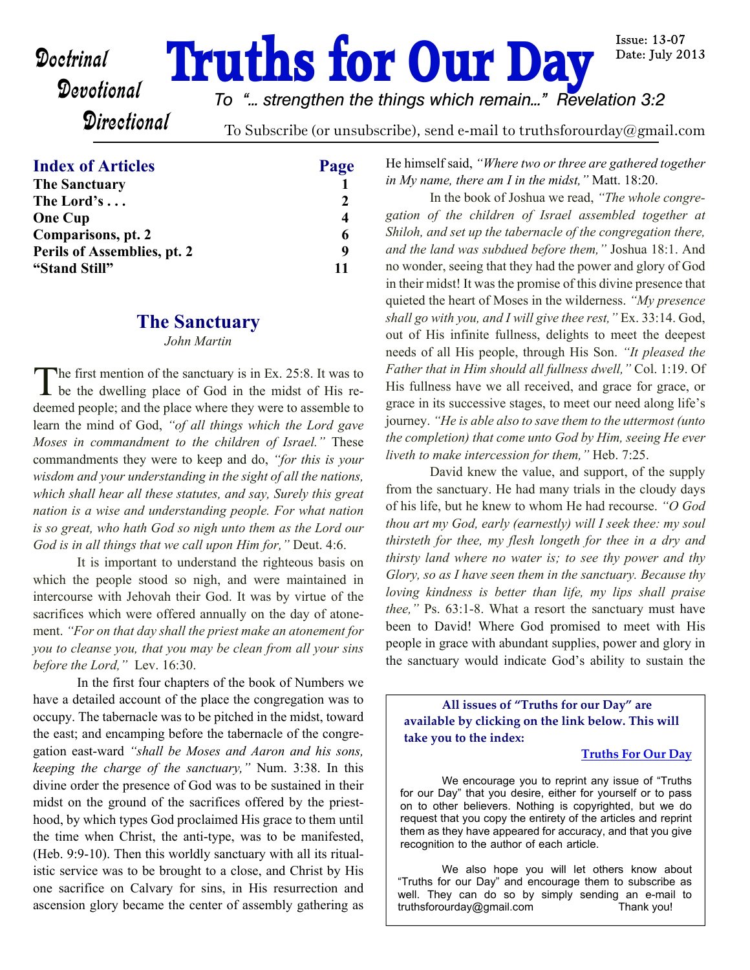# **Doctrinal Truths for Our Day**

**Issue: 13-07** Date: July 2013

# **Directional**

*To "... strengthen the things which remain..." Revelation 3:2*

To Subscribe (or unsubscribe), send e-mail to truthsforourday@gmail.com

#### **Index of Articles Page**

| <b>The Sanctuary</b>        |               |
|-----------------------------|---------------|
| The Lord's                  | $\mathcal{L}$ |
| <b>One Cup</b>              | 4             |
| Comparisons, pt. 2          | 6             |
| Perils of Assemblies, pt. 2 | q             |
| "Stand Still"               | 11            |

#### **The Sanctuary**

*John Martin*

The first mention of the sanctuary is in Ex. 25:8. It was to<br>be the dwelling place of God in the midst of His re-The first mention of the sanctuary is in Ex. 25:8. It was to deemed people; and the place where they were to assemble to learn the mind of God, *"of all things which the Lord gave Moses in commandment to the children of Israel."* These commandments they were to keep and do, *"for this is your wisdom and your understanding in the sight of all the nations, which shall hear all these statutes, and say, Surely this great nation is a wise and understanding people. For what nation is so great, who hath God so nigh unto them as the Lord our God is in all things that we call upon Him for,"* Deut. 4:6.

It is important to understand the righteous basis on which the people stood so nigh, and were maintained in intercourse with Jehovah their God. It was by virtue of the sacrifices which were offered annually on the day of atonement. *"For on that day shall the priest make an atonement for you to cleanse you, that you may be clean from all your sins before the Lord,"* Lev. 16:30.

In the first four chapters of the book of Numbers we have a detailed account of the place the congregation was to occupy. The tabernacle was to be pitched in the midst, toward the east; and encamping before the tabernacle of the congregation east-ward *"shall be Moses and Aaron and his sons, keeping the charge of the sanctuary,"* Num. 3:38. In this divine order the presence of God was to be sustained in their midst on the ground of the sacrifices offered by the priesthood, by which types God proclaimed His grace to them until the time when Christ, the anti-type, was to be manifested, (Heb. 9:9-10). Then this worldly sanctuary with all its ritualistic service was to be brought to a close, and Christ by His one sacrifice on Calvary for sins, in His resurrection and ascension glory became the center of assembly gathering as

He himself said, *"Where two or three are gathered together in My name, there am I in the midst,"* Matt. 18:20.

In the book of Joshua we read, *"The whole congregation of the children of Israel assembled together at Shiloh, and set up the tabernacle of the congregation there, and the land was subdued before them,"* Joshua 18:1. And no wonder, seeing that they had the power and glory of God in their midst! It was the promise of this divine presence that quieted the heart of Moses in the wilderness. *"My presence shall go with you, and I will give thee rest,"* Ex. 33:14. God, out of His infinite fullness, delights to meet the deepest needs of all His people, through His Son. *"It pleased the Father that in Him should all fullness dwell,"* Col. 1:19. Of His fullness have we all received, and grace for grace, or grace in its successive stages, to meet our need along life's journey. *"He is able also to save them to the uttermost (unto the completion) that come unto God by Him, seeing He ever liveth to make intercession for them,"* Heb. 7:25.

David knew the value, and support, of the supply from the sanctuary. He had many trials in the cloudy days of his life, but he knew to whom He had recourse. *"O God thou art my God, early (earnestly) will I seek thee: my soul thirsteth for thee, my flesh longeth for thee in a dry and thirsty land where no water is; to see thy power and thy Glory, so as I have seen them in the sanctuary. Because thy loving kindness is better than life, my lips shall praise thee,"* Ps. 63:1-8. What a resort the sanctuary must have been to David! Where God promised to meet with His people in grace with abundant supplies, power and glory in the sanctuary would indicate God's ability to sustain the

**All issues of "Truths for our Day" are available by clicking on the link below. This will take you to the index:**

#### **[Truths For Our Day](http://truthsforourday.com)**

 We encourage you to reprint any issue of "Truths for our Day" that you desire, either for yourself or to pass on to other believers. Nothing is copyrighted, but we do request that you copy the entirety of the articles and reprint them as they have appeared for accuracy, and that you give recognition to the author of each article.

We also hope you will let others know about "Truths for our Day" and encourage them to subscribe as well. They can do so by simply sending an e-mail to truthsforourday@gmail.com Thank you!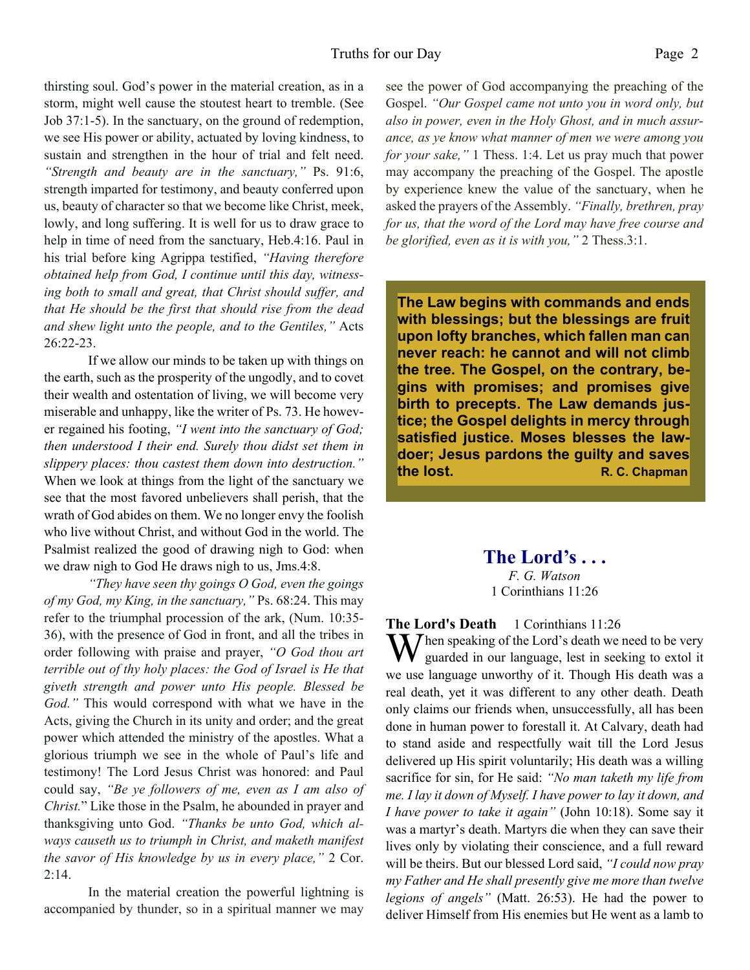thirsting soul. God's power in the material creation, as in a storm, might well cause the stoutest heart to tremble. (See Job 37:1-5). In the sanctuary, on the ground of redemption, we see His power or ability, actuated by loving kindness, to sustain and strengthen in the hour of trial and felt need. *"Strength and beauty are in the sanctuary,"* Ps. 91:6, strength imparted for testimony, and beauty conferred upon us, beauty of character so that we become like Christ, meek, lowly, and long suffering. It is well for us to draw grace to help in time of need from the sanctuary, Heb.4:16. Paul in his trial before king Agrippa testified, *"Having therefore obtained help from God, I continue until this day, witnessing both to small and great, that Christ should suffer, and that He should be the first that should rise from the dead and shew light unto the people, and to the Gentiles,"* Acts 26:22-23.

If we allow our minds to be taken up with things on the earth, such as the prosperity of the ungodly, and to covet their wealth and ostentation of living, we will become very miserable and unhappy, like the writer of Ps. 73. He however regained his footing, *"I went into the sanctuary of God; then understood I their end. Surely thou didst set them in slippery places: thou castest them down into destruction."* When we look at things from the light of the sanctuary we see that the most favored unbelievers shall perish, that the wrath of God abides on them. We no longer envy the foolish who live without Christ, and without God in the world. The Psalmist realized the good of drawing nigh to God: when we draw nigh to God He draws nigh to us, Jms.4:8.

*"They have seen thy goings O God, even the goings of my God, my King, in the sanctuary,"* Ps. 68:24. This may refer to the triumphal procession of the ark, (Num. 10:35- 36), with the presence of God in front, and all the tribes in order following with praise and prayer, *"O God thou art terrible out of thy holy places: the God of Israel is He that giveth strength and power unto His people. Blessed be God."* This would correspond with what we have in the Acts, giving the Church in its unity and order; and the great power which attended the ministry of the apostles. What a glorious triumph we see in the whole of Paul's life and testimony! The Lord Jesus Christ was honored: and Paul could say, *"Be ye followers of me, even as I am also of Christ.*" Like those in the Psalm, he abounded in prayer and thanksgiving unto God. *"Thanks be unto God, which always causeth us to triumph in Christ, and maketh manifest the savor of His knowledge by us in every place,"* 2 Cor. 2:14.

In the material creation the powerful lightning is accompanied by thunder, so in a spiritual manner we may see the power of God accompanying the preaching of the Gospel. *"Our Gospel came not unto you in word only, but also in power, even in the Holy Ghost, and in much assurance, as ye know what manner of men we were among you for your sake,"* 1 Thess. 1:4. Let us pray much that power may accompany the preaching of the Gospel. The apostle by experience knew the value of the sanctuary, when he asked the prayers of the Assembly. *"Finally, brethren, pray for us, that the word of the Lord may have free course and be glorified, even as it is with you,"* 2 Thess.3:1.

**The Law begins with commands and ends with blessings; but the blessings are fruit upon lofty branches, which fallen man can never reach: he cannot and will not climb the tree. The Gospel, on the contrary, begins with promises; and promises give birth to precepts. The Law demands justice; the Gospel delights in mercy through satisfied justice. Moses blesses the lawdoer; Jesus pardons the guilty and saves the lost. R. C. Chapman** 

> **The Lord's . . .** *F. G. Watson* 1 Corinthians 11:26

**The Lord's Death** 1 Corinthians 11:26 When speaking of the Lord's death we need to be very guarded in our language, lest in seeking to extol it we use language unworthy of it. Though His death was a real death, yet it was different to any other death. Death only claims our friends when, unsuccessfully, all has been done in human power to forestall it. At Calvary, death had to stand aside and respectfully wait till the Lord Jesus delivered up His spirit voluntarily; His death was a willing sacrifice for sin, for He said: *"No man taketh my life from me. I lay it down of Myself. I have power to lay it down, and I have power to take it again"* (John 10:18). Some say it was a martyr's death. Martyrs die when they can save their lives only by violating their conscience, and a full reward will be theirs. But our blessed Lord said, *"I could now pray my Father and He shall presently give me more than twelve legions of angels"* (Matt. 26:53). He had the power to deliver Himself from His enemies but He went as a lamb to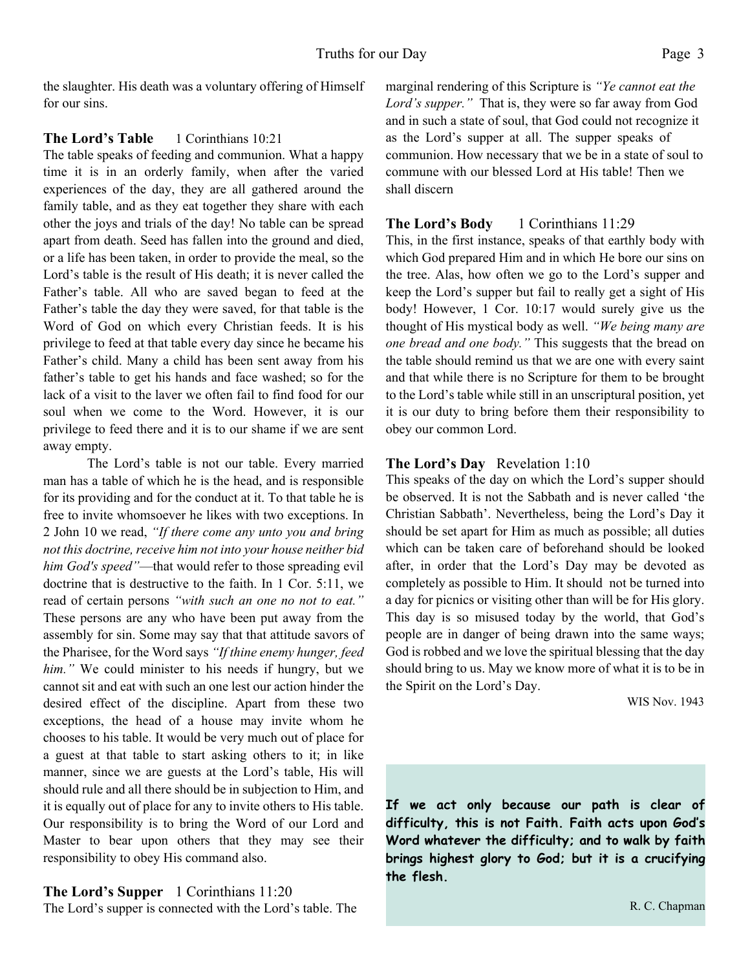the slaughter. His death was a voluntary offering of Himself for our sins.

#### **The Lord's Table** 1 Corinthians 10:21

The table speaks of feeding and communion. What a happy time it is in an orderly family, when after the varied experiences of the day, they are all gathered around the family table, and as they eat together they share with each other the joys and trials of the day! No table can be spread apart from death. Seed has fallen into the ground and died, or a life has been taken, in order to provide the meal, so the Lord's table is the result of His death; it is never called the Father's table. All who are saved began to feed at the Father's table the day they were saved, for that table is the Word of God on which every Christian feeds. It is his privilege to feed at that table every day since he became his Father's child. Many a child has been sent away from his father's table to get his hands and face washed; so for the lack of a visit to the laver we often fail to find food for our soul when we come to the Word. However, it is our privilege to feed there and it is to our shame if we are sent away empty.

The Lord's table is not our table. Every married man has a table of which he is the head, and is responsible for its providing and for the conduct at it. To that table he is free to invite whomsoever he likes with two exceptions. In 2 John 10 we read, *"If there come any unto you and bring not this doctrine, receive him not into your house neither bid him God's speed"*—that would refer to those spreading evil doctrine that is destructive to the faith. In 1 Cor. 5:11, we read of certain persons *"with such an one no not to eat."* These persons are any who have been put away from the assembly for sin. Some may say that that attitude savors of the Pharisee, for the Word says *"If thine enemy hunger, feed him."* We could minister to his needs if hungry, but we cannot sit and eat with such an one lest our action hinder the desired effect of the discipline. Apart from these two exceptions, the head of a house may invite whom he chooses to his table. It would be very much out of place for a guest at that table to start asking others to it; in like manner, since we are guests at the Lord's table, His will should rule and all there should be in subjection to Him, and it is equally out of place for any to invite others to His table. Our responsibility is to bring the Word of our Lord and Master to bear upon others that they may see their responsibility to obey His command also.

#### **The Lord's Supper** 1 Corinthians 11:20

The Lord's supper is connected with the Lord's table. The

marginal rendering of this Scripture is *"Ye cannot eat the Lord's supper."* That is, they were so far away from God and in such a state of soul, that God could not recognize it as the Lord's supper at all. The supper speaks of communion. How necessary that we be in a state of soul to commune with our blessed Lord at His table! Then we shall discern

#### **The Lord's Body** 1 Corinthians 11:29

This, in the first instance, speaks of that earthly body with which God prepared Him and in which He bore our sins on the tree. Alas, how often we go to the Lord's supper and keep the Lord's supper but fail to really get a sight of His body! However, 1 Cor. 10:17 would surely give us the thought of His mystical body as well. *"We being many are one bread and one body."* This suggests that the bread on the table should remind us that we are one with every saint and that while there is no Scripture for them to be brought to the Lord's table while still in an unscriptural position, yet it is our duty to bring before them their responsibility to obey our common Lord.

#### **The Lord's Day** Revelation 1:10

This speaks of the day on which the Lord's supper should be observed. It is not the Sabbath and is never called 'the Christian Sabbath'. Nevertheless, being the Lord's Day it should be set apart for Him as much as possible; all duties which can be taken care of beforehand should be looked after, in order that the Lord's Day may be devoted as completely as possible to Him. It should not be turned into a day for picnics or visiting other than will be for His glory. This day is so misused today by the world, that God's people are in danger of being drawn into the same ways; God is robbed and we love the spiritual blessing that the day should bring to us. May we know more of what it is to be in the Spirit on the Lord's Day.

WIS Nov. 1943

**If we act only because our path is clear of difficulty, this is not Faith. Faith acts upon God's Word whatever the difficulty; and to walk by faith brings highest glory to God; but it is a crucifying the flesh.**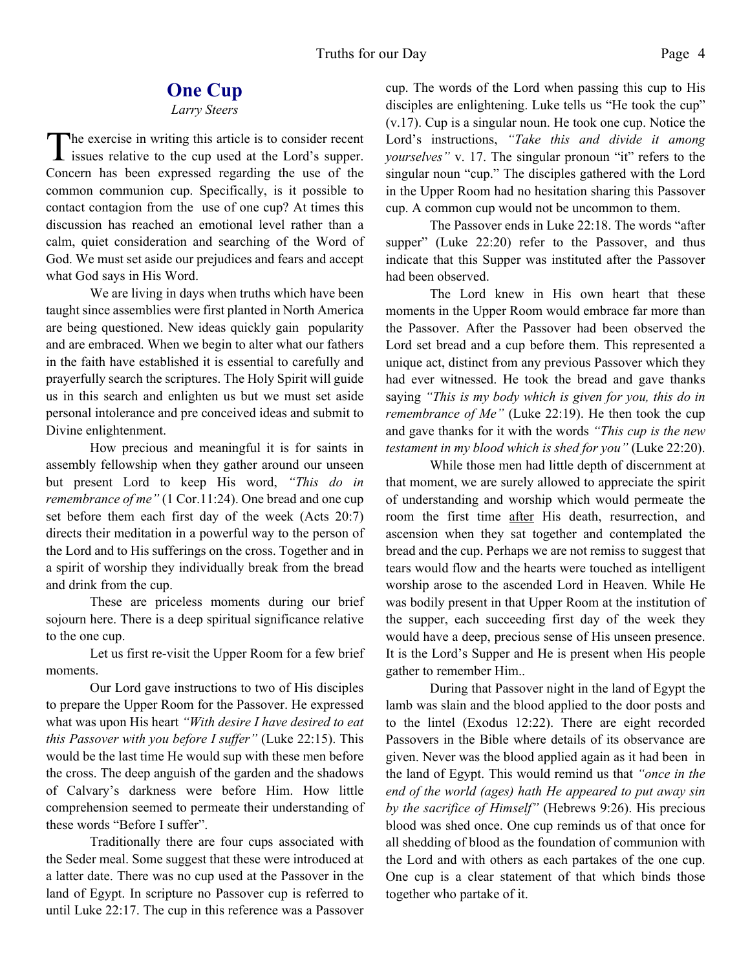### **One Cup**

#### *Larry Steers*

The exercise in writing this article is to consider recent<br>issues relative to the cup used at the Lord's supper. he exercise in writing this article is to consider recent Concern has been expressed regarding the use of the common communion cup. Specifically, is it possible to contact contagion from the use of one cup? At times this discussion has reached an emotional level rather than a calm, quiet consideration and searching of the Word of God. We must set aside our prejudices and fears and accept what God says in His Word.

We are living in days when truths which have been taught since assemblies were first planted in North America are being questioned. New ideas quickly gain popularity and are embraced. When we begin to alter what our fathers in the faith have established it is essential to carefully and prayerfully search the scriptures. The Holy Spirit will guide us in this search and enlighten us but we must set aside personal intolerance and pre conceived ideas and submit to Divine enlightenment.

How precious and meaningful it is for saints in assembly fellowship when they gather around our unseen but present Lord to keep His word, *"This do in remembrance of me"* (1 Cor.11:24). One bread and one cup set before them each first day of the week (Acts 20:7) directs their meditation in a powerful way to the person of the Lord and to His sufferings on the cross. Together and in a spirit of worship they individually break from the bread and drink from the cup.

These are priceless moments during our brief sojourn here. There is a deep spiritual significance relative to the one cup.

Let us first re-visit the Upper Room for a few brief moments.

Our Lord gave instructions to two of His disciples to prepare the Upper Room for the Passover. He expressed what was upon His heart *"With desire I have desired to eat this Passover with you before I suffer"* (Luke 22:15). This would be the last time He would sup with these men before the cross. The deep anguish of the garden and the shadows of Calvary's darkness were before Him. How little comprehension seemed to permeate their understanding of these words "Before I suffer".

Traditionally there are four cups associated with the Seder meal. Some suggest that these were introduced at a latter date. There was no cup used at the Passover in the land of Egypt. In scripture no Passover cup is referred to until Luke 22:17. The cup in this reference was a Passover cup. The words of the Lord when passing this cup to His disciples are enlightening. Luke tells us "He took the cup" (v.17). Cup is a singular noun. He took one cup. Notice the Lord's instructions, *"Take this and divide it among vourselves* " v. 17. The singular pronoun "it" refers to the singular noun "cup." The disciples gathered with the Lord in the Upper Room had no hesitation sharing this Passover cup. A common cup would not be uncommon to them.

The Passover ends in Luke 22:18. The words "after supper" (Luke 22:20) refer to the Passover, and thus indicate that this Supper was instituted after the Passover had been observed.

The Lord knew in His own heart that these moments in the Upper Room would embrace far more than the Passover. After the Passover had been observed the Lord set bread and a cup before them. This represented a unique act, distinct from any previous Passover which they had ever witnessed. He took the bread and gave thanks saying *"This is my body which is given for you, this do in remembrance of Me"* (Luke 22:19). He then took the cup and gave thanks for it with the words *"This cup is the new testament in my blood which is shed for you"* (Luke 22:20).

While those men had little depth of discernment at that moment, we are surely allowed to appreciate the spirit of understanding and worship which would permeate the room the first time after His death, resurrection, and ascension when they sat together and contemplated the bread and the cup. Perhaps we are not remiss to suggest that tears would flow and the hearts were touched as intelligent worship arose to the ascended Lord in Heaven. While He was bodily present in that Upper Room at the institution of the supper, each succeeding first day of the week they would have a deep, precious sense of His unseen presence. It is the Lord's Supper and He is present when His people gather to remember Him..

During that Passover night in the land of Egypt the lamb was slain and the blood applied to the door posts and to the lintel (Exodus 12:22). There are eight recorded Passovers in the Bible where details of its observance are given. Never was the blood applied again as it had been in the land of Egypt. This would remind us that *"once in the end of the world (ages) hath He appeared to put away sin by the sacrifice of Himself"* (Hebrews 9:26). His precious blood was shed once. One cup reminds us of that once for all shedding of blood as the foundation of communion with the Lord and with others as each partakes of the one cup. One cup is a clear statement of that which binds those together who partake of it.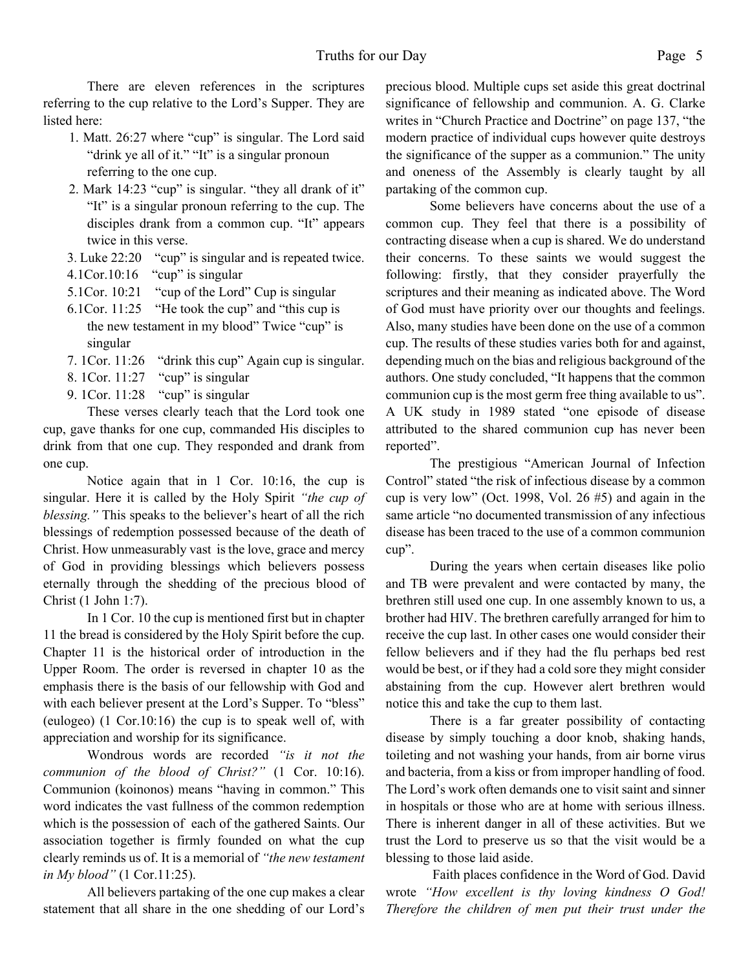There are eleven references in the scriptures referring to the cup relative to the Lord's Supper. They are listed here:

- 1. Matt. 26:27 where "cup" is singular. The Lord said "drink ye all of it." "It" is a singular pronoun referring to the one cup.
- 2. Mark 14:23 "cup" is singular. "they all drank of it" "It" is a singular pronoun referring to the cup. The disciples drank from a common cup. "It" appears twice in this verse.
- 3. Luke 22:20 "cup" is singular and is repeated twice.
- 4.1Cor.10:16 "cup" is singular
- 5.1Cor. 10:21 "cup of the Lord" Cup is singular
- 6.1Cor. 11:25 "He took the cup" and "this cup is the new testament in my blood" Twice "cup" is singular
- 7. 1Cor. 11:26 "drink this cup" Again cup is singular.
- 8. 1Cor. 11:27 "cup" is singular
- 9. 1Cor. 11:28 "cup" is singular

These verses clearly teach that the Lord took one cup, gave thanks for one cup, commanded His disciples to drink from that one cup. They responded and drank from one cup.

Notice again that in 1 Cor. 10:16, the cup is singular. Here it is called by the Holy Spirit *"the cup of blessing."* This speaks to the believer's heart of all the rich blessings of redemption possessed because of the death of Christ. How unmeasurably vast is the love, grace and mercy of God in providing blessings which believers possess eternally through the shedding of the precious blood of Christ (1 John 1:7).

 In 1 Cor. 10 the cup is mentioned first but in chapter 11 the bread is considered by the Holy Spirit before the cup. Chapter 11 is the historical order of introduction in the Upper Room. The order is reversed in chapter 10 as the emphasis there is the basis of our fellowship with God and with each believer present at the Lord's Supper. To "bless" (eulogeo) (1 Cor.10:16) the cup is to speak well of, with appreciation and worship for its significance.

 Wondrous words are recorded *"is it not the communion of the blood of Christ?"* (1 Cor. 10:16). Communion (koinonos) means "having in common." This word indicates the vast fullness of the common redemption which is the possession of each of the gathered Saints. Our association together is firmly founded on what the cup clearly reminds us of. It is a memorial of *"the new testament in My blood"* (1 Cor.11:25).

 All believers partaking of the one cup makes a clear statement that all share in the one shedding of our Lord's precious blood. Multiple cups set aside this great doctrinal significance of fellowship and communion. A. G. Clarke writes in "Church Practice and Doctrine" on page 137, "the modern practice of individual cups however quite destroys the significance of the supper as a communion." The unity and oneness of the Assembly is clearly taught by all partaking of the common cup.

 Some believers have concerns about the use of a common cup. They feel that there is a possibility of contracting disease when a cup is shared. We do understand their concerns. To these saints we would suggest the following: firstly, that they consider prayerfully the scriptures and their meaning as indicated above. The Word of God must have priority over our thoughts and feelings. Also, many studies have been done on the use of a common cup. The results of these studies varies both for and against, depending much on the bias and religious background of the authors. One study concluded, "It happens that the common communion cup is the most germ free thing available to us". A UK study in 1989 stated "one episode of disease attributed to the shared communion cup has never been reported".

 The prestigious "American Journal of Infection Control" stated "the risk of infectious disease by a common cup is very low" (Oct. 1998, Vol. 26 #5) and again in the same article "no documented transmission of any infectious disease has been traced to the use of a common communion cup".

 During the years when certain diseases like polio and TB were prevalent and were contacted by many, the brethren still used one cup. In one assembly known to us, a brother had HIV. The brethren carefully arranged for him to receive the cup last. In other cases one would consider their fellow believers and if they had the flu perhaps bed rest would be best, or if they had a cold sore they might consider abstaining from the cup. However alert brethren would notice this and take the cup to them last.

 There is a far greater possibility of contacting disease by simply touching a door knob, shaking hands, toileting and not washing your hands, from air borne virus and bacteria, from a kiss or from improper handling of food. The Lord's work often demands one to visit saint and sinner in hospitals or those who are at home with serious illness. There is inherent danger in all of these activities. But we trust the Lord to preserve us so that the visit would be a blessing to those laid aside.

Faith places confidence in the Word of God. David wrote *"How excellent is thy loving kindness O God! Therefore the children of men put their trust under the*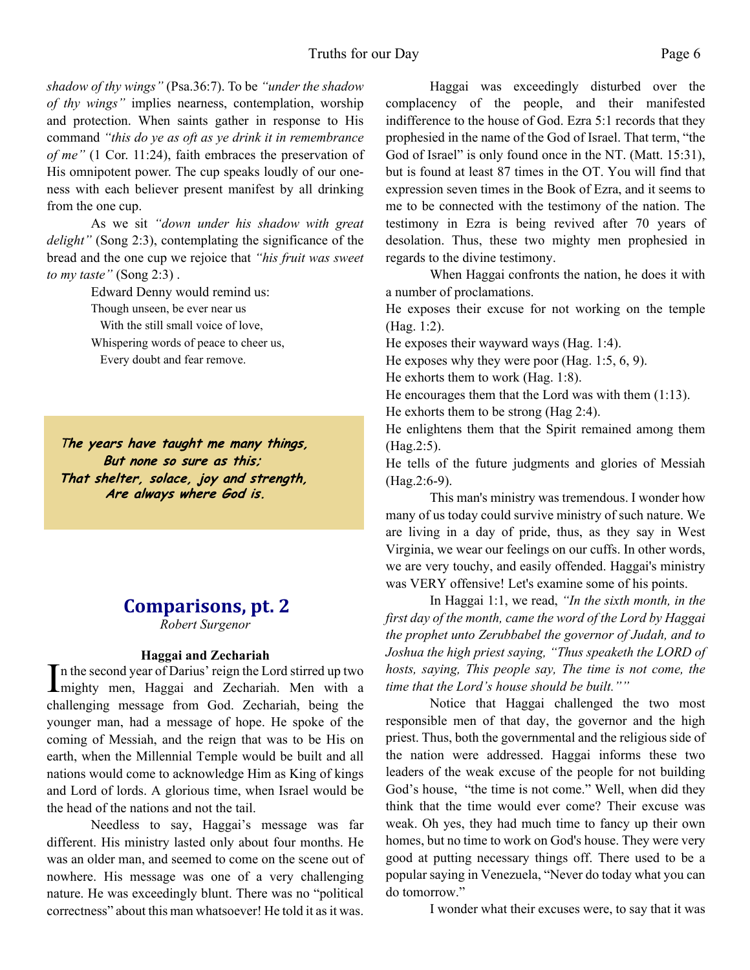*shadow of thy wings"* (Psa.36:7). To be *"under the shadow of thy wings"* implies nearness, contemplation, worship and protection. When saints gather in response to His command *"this do ye as oft as ye drink it in remembrance of me"* (1 Cor. 11:24), faith embraces the preservation of His omnipotent power. The cup speaks loudly of our oneness with each believer present manifest by all drinking from the one cup.

 As we sit *"down under his shadow with great delight"* (Song 2:3), contemplating the significance of the bread and the one cup we rejoice that *"his fruit was sweet to my taste"* (Song 2:3) .

> Edward Denny would remind us: Though unseen, be ever near us With the still small voice of love, Whispering words of peace to cheer us,

Every doubt and fear remove.

The years have taught me many things, But none so sure as this; That shelter, solace, joy and strength, Are always where God is.

### **Comparisons, pt. 2**

*Robert Surgenor*

#### **Haggai and Zechariah**

In the second year of Darius' reign the Lord stirred up two<br>mighty men, Haggai and Zechariah. Men with a n the second year of Darius' reign the Lord stirred up two challenging message from God. Zechariah, being the younger man, had a message of hope. He spoke of the coming of Messiah, and the reign that was to be His on earth, when the Millennial Temple would be built and all nations would come to acknowledge Him as King of kings and Lord of lords. A glorious time, when Israel would be the head of the nations and not the tail.

Needless to say, Haggai's message was far different. His ministry lasted only about four months. He was an older man, and seemed to come on the scene out of nowhere. His message was one of a very challenging nature. He was exceedingly blunt. There was no "political correctness" about this man whatsoever! He told it as it was.

Haggai was exceedingly disturbed over the complacency of the people, and their manifested indifference to the house of God. Ezra 5:1 records that they prophesied in the name of the God of Israel. That term, "the God of Israel" is only found once in the NT. (Matt. 15:31), but is found at least 87 times in the OT. You will find that expression seven times in the Book of Ezra, and it seems to me to be connected with the testimony of the nation. The testimony in Ezra is being revived after 70 years of desolation. Thus, these two mighty men prophesied in regards to the divine testimony.

When Haggai confronts the nation, he does it with a number of proclamations.

He exposes their excuse for not working on the temple (Hag. 1:2).

He exposes their wayward ways (Hag. 1:4).

He exposes why they were poor (Hag. 1:5, 6, 9).

He exhorts them to work (Hag. 1:8).

He encourages them that the Lord was with them (1:13).

He exhorts them to be strong (Hag 2:4).

He enlightens them that the Spirit remained among them (Hag.2:5).

He tells of the future judgments and glories of Messiah (Hag.2:6-9).

This man's ministry was tremendous. I wonder how many of us today could survive ministry of such nature. We are living in a day of pride, thus, as they say in West Virginia, we wear our feelings on our cuffs. In other words, we are very touchy, and easily offended. Haggai's ministry was VERY offensive! Let's examine some of his points.

In Haggai 1:1, we read, *"In the sixth month, in the first day of the month, came the word of the Lord by Haggai the prophet unto Zerubbabel the governor of Judah, and to Joshua the high priest saying, "Thus speaketh the LORD of hosts, saying, This people say, The time is not come, the time that the Lord's house should be built.""*

Notice that Haggai challenged the two most responsible men of that day, the governor and the high priest. Thus, both the governmental and the religious side of the nation were addressed. Haggai informs these two leaders of the weak excuse of the people for not building God's house, "the time is not come." Well, when did they think that the time would ever come? Their excuse was weak. Oh yes, they had much time to fancy up their own homes, but no time to work on God's house. They were very good at putting necessary things off. There used to be a popular saying in Venezuela, "Never do today what you can do tomorrow."

I wonder what their excuses were, to say that it was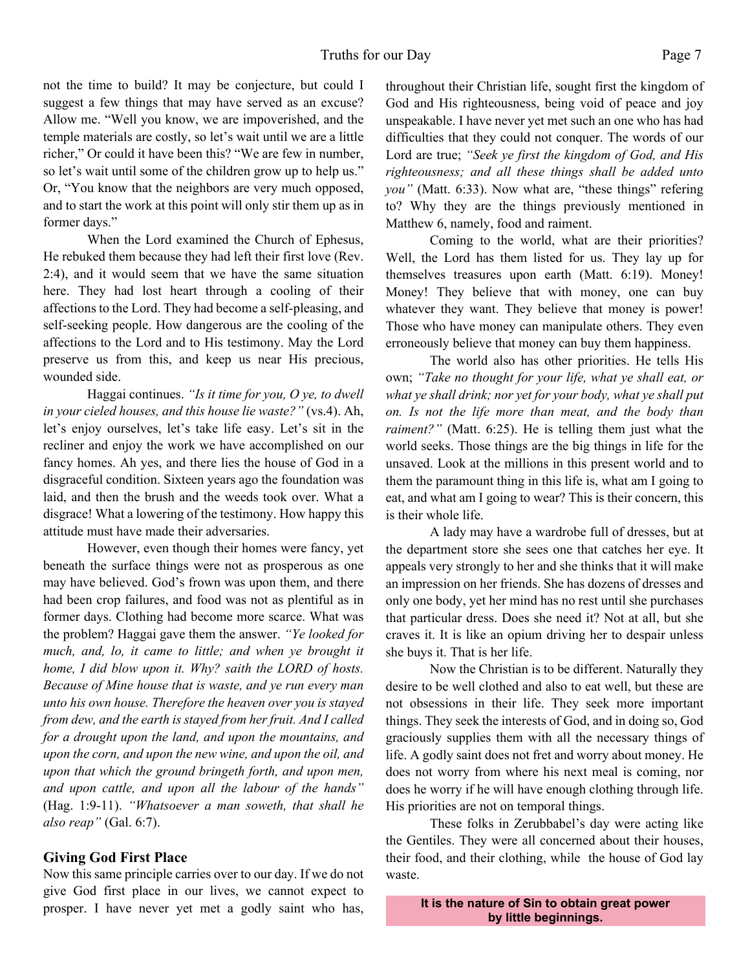not the time to build? It may be conjecture, but could I suggest a few things that may have served as an excuse? Allow me. "Well you know, we are impoverished, and the temple materials are costly, so let's wait until we are a little richer," Or could it have been this? "We are few in number, so let's wait until some of the children grow up to help us." Or, "You know that the neighbors are very much opposed, and to start the work at this point will only stir them up as in former days."

When the Lord examined the Church of Ephesus, He rebuked them because they had left their first love (Rev. 2:4), and it would seem that we have the same situation here. They had lost heart through a cooling of their affections to the Lord. They had become a self-pleasing, and self-seeking people. How dangerous are the cooling of the affections to the Lord and to His testimony. May the Lord preserve us from this, and keep us near His precious, wounded side.

Haggai continues. *"Is it time for you, O ye, to dwell in your cieled houses, and this house lie waste?"* (vs.4). Ah, let's enjoy ourselves, let's take life easy. Let's sit in the recliner and enjoy the work we have accomplished on our fancy homes. Ah yes, and there lies the house of God in a disgraceful condition. Sixteen years ago the foundation was laid, and then the brush and the weeds took over. What a disgrace! What a lowering of the testimony. How happy this attitude must have made their adversaries.

However, even though their homes were fancy, yet beneath the surface things were not as prosperous as one may have believed. God's frown was upon them, and there had been crop failures, and food was not as plentiful as in former days. Clothing had become more scarce. What was the problem? Haggai gave them the answer. *"Ye looked for much, and, lo, it came to little; and when ye brought it home, I did blow upon it. Why? saith the LORD of hosts. Because of Mine house that is waste, and ye run every man unto his own house. Therefore the heaven over you is stayed from dew, and the earth is stayed from her fruit. And I called for a drought upon the land, and upon the mountains, and upon the corn, and upon the new wine, and upon the oil, and upon that which the ground bringeth forth, and upon men, and upon cattle, and upon all the labour of the hands"* (Hag. 1:9-11). *"Whatsoever a man soweth, that shall he also reap"* (Gal. 6:7).

#### **Giving God First Place**

Now this same principle carries over to our day. If we do not give God first place in our lives, we cannot expect to prosper. I have never yet met a godly saint who has, throughout their Christian life, sought first the kingdom of God and His righteousness, being void of peace and joy unspeakable. I have never yet met such an one who has had difficulties that they could not conquer. The words of our Lord are true; *"Seek ye first the kingdom of God, and His righteousness; and all these things shall be added unto you"* (Matt. 6:33). Now what are, "these things" refering to? Why they are the things previously mentioned in Matthew 6, namely, food and raiment.

Coming to the world, what are their priorities? Well, the Lord has them listed for us. They lay up for themselves treasures upon earth (Matt. 6:19). Money! Money! They believe that with money, one can buy whatever they want. They believe that money is power! Those who have money can manipulate others. They even erroneously believe that money can buy them happiness.

The world also has other priorities. He tells His own; *"Take no thought for your life, what ye shall eat, or what ye shall drink; nor yet for your body, what ye shall put on. Is not the life more than meat, and the body than raiment?"* (Matt. 6:25). He is telling them just what the world seeks. Those things are the big things in life for the unsaved. Look at the millions in this present world and to them the paramount thing in this life is, what am I going to eat, and what am I going to wear? This is their concern, this is their whole life.

A lady may have a wardrobe full of dresses, but at the department store she sees one that catches her eye. It appeals very strongly to her and she thinks that it will make an impression on her friends. She has dozens of dresses and only one body, yet her mind has no rest until she purchases that particular dress. Does she need it? Not at all, but she craves it. It is like an opium driving her to despair unless she buys it. That is her life.

Now the Christian is to be different. Naturally they desire to be well clothed and also to eat well, but these are not obsessions in their life. They seek more important things. They seek the interests of God, and in doing so, God graciously supplies them with all the necessary things of life. A godly saint does not fret and worry about money. He does not worry from where his next meal is coming, nor does he worry if he will have enough clothing through life. His priorities are not on temporal things.

These folks in Zerubbabel's day were acting like the Gentiles. They were all concerned about their houses, their food, and their clothing, while the house of God lay waste.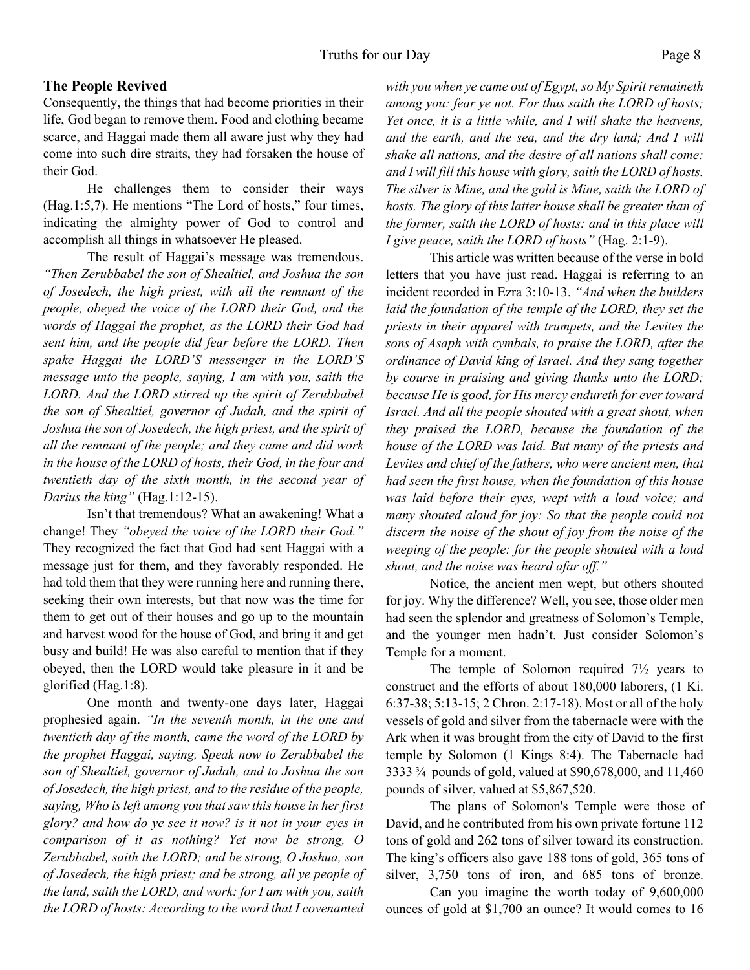#### **The People Revived**

Consequently, the things that had become priorities in their life, God began to remove them. Food and clothing became scarce, and Haggai made them all aware just why they had come into such dire straits, they had forsaken the house of their God.

He challenges them to consider their ways (Hag.1:5,7). He mentions "The Lord of hosts," four times, indicating the almighty power of God to control and accomplish all things in whatsoever He pleased.

The result of Haggai's message was tremendous. *"Then Zerubbabel the son of Shealtiel, and Joshua the son of Josedech, the high priest, with all the remnant of the people, obeyed the voice of the LORD their God, and the words of Haggai the prophet, as the LORD their God had sent him, and the people did fear before the LORD. Then spake Haggai the LORD'S messenger in the LORD'S message unto the people, saying, I am with you, saith the LORD. And the LORD stirred up the spirit of Zerubbabel the son of Shealtiel, governor of Judah, and the spirit of Joshua the son of Josedech, the high priest, and the spirit of all the remnant of the people; and they came and did work in the house of the LORD of hosts, their God, in the four and twentieth day of the sixth month, in the second year of Darius the king"* (Hag.1:12-15).

Isn't that tremendous? What an awakening! What a change! They *"obeyed the voice of the LORD their God."* They recognized the fact that God had sent Haggai with a message just for them, and they favorably responded. He had told them that they were running here and running there, seeking their own interests, but that now was the time for them to get out of their houses and go up to the mountain and harvest wood for the house of God, and bring it and get busy and build! He was also careful to mention that if they obeyed, then the LORD would take pleasure in it and be glorified (Hag.1:8).

One month and twenty-one days later, Haggai prophesied again. *"In the seventh month, in the one and twentieth day of the month, came the word of the LORD by the prophet Haggai, saying, Speak now to Zerubbabel the son of Shealtiel, governor of Judah, and to Joshua the son of Josedech, the high priest, and to the residue of the people, saying, Who is left among you that saw this house in her first glory? and how do ye see it now? is it not in your eyes in comparison of it as nothing? Yet now be strong, O Zerubbabel, saith the LORD; and be strong, O Joshua, son of Josedech, the high priest; and be strong, all ye people of the land, saith the LORD, and work: for I am with you, saith the LORD of hosts: According to the word that I covenanted* *with you when ye came out of Egypt, so My Spirit remaineth among you: fear ye not. For thus saith the LORD of hosts; Yet once, it is a little while, and I will shake the heavens, and the earth, and the sea, and the dry land; And I will shake all nations, and the desire of all nations shall come: and I will fill this house with glory, saith the LORD of hosts. The silver is Mine, and the gold is Mine, saith the LORD of hosts. The glory of this latter house shall be greater than of the former, saith the LORD of hosts: and in this place will I give peace, saith the LORD of hosts"* (Hag. 2:1-9).

This article was written because of the verse in bold letters that you have just read. Haggai is referring to an incident recorded in Ezra 3:10-13. *"And when the builders laid the foundation of the temple of the LORD, they set the priests in their apparel with trumpets, and the Levites the sons of Asaph with cymbals, to praise the LORD, after the ordinance of David king of Israel. And they sang together by course in praising and giving thanks unto the LORD; because He is good, for His mercy endureth for ever toward Israel. And all the people shouted with a great shout, when they praised the LORD, because the foundation of the house of the LORD was laid. But many of the priests and Levites and chief of the fathers, who were ancient men, that had seen the first house, when the foundation of this house was laid before their eyes, wept with a loud voice; and many shouted aloud for joy: So that the people could not discern the noise of the shout of joy from the noise of the weeping of the people: for the people shouted with a loud shout, and the noise was heard afar off."*

Notice, the ancient men wept, but others shouted for joy. Why the difference? Well, you see, those older men had seen the splendor and greatness of Solomon's Temple, and the younger men hadn't. Just consider Solomon's Temple for a moment.

The temple of Solomon required  $7\frac{1}{2}$  years to construct and the efforts of about 180,000 laborers, (1 Ki. 6:37-38; 5:13-15; 2 Chron. 2:17-18). Most or all of the holy vessels of gold and silver from the tabernacle were with the Ark when it was brought from the city of David to the first temple by Solomon (1 Kings 8:4). The Tabernacle had 3333 ¾ pounds of gold, valued at \$90,678,000, and 11,460 pounds of silver, valued at \$5,867,520.

The plans of Solomon's Temple were those of David, and he contributed from his own private fortune 112 tons of gold and 262 tons of silver toward its construction. The king's officers also gave 188 tons of gold, 365 tons of silver, 3,750 tons of iron, and 685 tons of bronze.

 Can you imagine the worth today of 9,600,000 ounces of gold at \$1,700 an ounce? It would comes to 16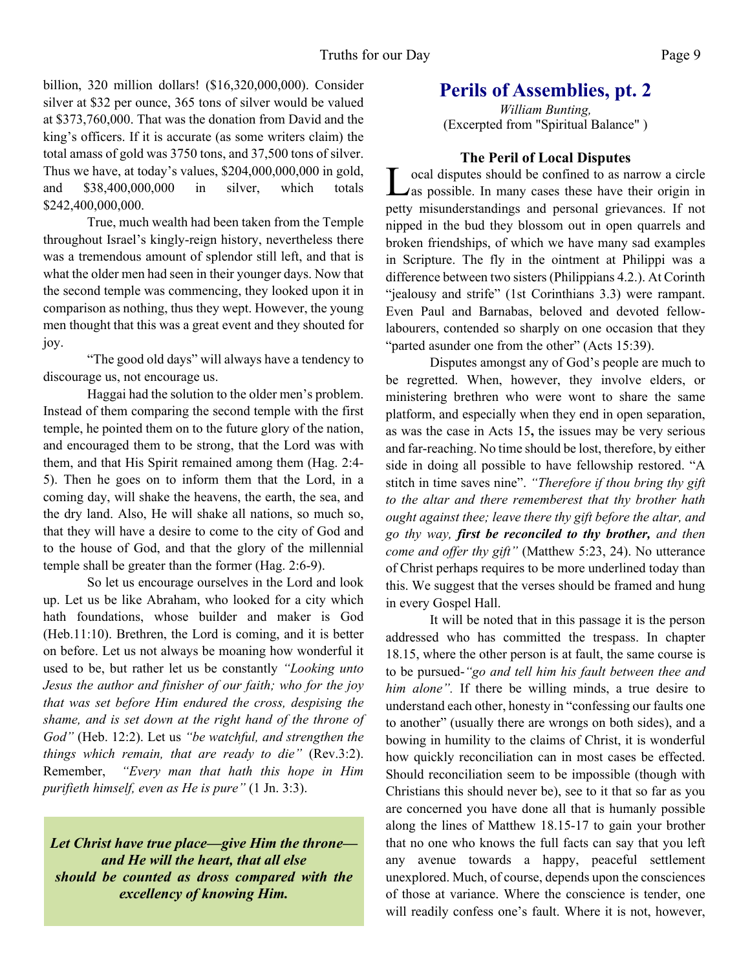billion, 320 million dollars! (\$16,320,000,000). Consider silver at \$32 per ounce, 365 tons of silver would be valued at \$373,760,000. That was the donation from David and the king's officers. If it is accurate (as some writers claim) the total amass of gold was 3750 tons, and 37,500 tons of silver. Thus we have, at today's values, \$204,000,000,000 in gold, and \$38,400,000,000 in silver, which totals \$242,400,000,000.

True, much wealth had been taken from the Temple throughout Israel's kingly-reign history, nevertheless there was a tremendous amount of splendor still left, and that is what the older men had seen in their younger days. Now that the second temple was commencing, they looked upon it in comparison as nothing, thus they wept. However, the young men thought that this was a great event and they shouted for joy.

"The good old days" will always have a tendency to discourage us, not encourage us.

Haggai had the solution to the older men's problem. Instead of them comparing the second temple with the first temple, he pointed them on to the future glory of the nation, and encouraged them to be strong, that the Lord was with them, and that His Spirit remained among them (Hag. 2:4- 5). Then he goes on to inform them that the Lord, in a coming day, will shake the heavens, the earth, the sea, and the dry land. Also, He will shake all nations, so much so, that they will have a desire to come to the city of God and to the house of God, and that the glory of the millennial temple shall be greater than the former (Hag. 2:6-9).

So let us encourage ourselves in the Lord and look up. Let us be like Abraham, who looked for a city which hath foundations, whose builder and maker is God (Heb.11:10). Brethren, the Lord is coming, and it is better on before. Let us not always be moaning how wonderful it used to be, but rather let us be constantly *"Looking unto Jesus the author and finisher of our faith; who for the joy that was set before Him endured the cross, despising the shame, and is set down at the right hand of the throne of God"* (Heb. 12:2). Let us *"be watchful, and strengthen the things which remain, that are ready to die"* (Rev.3:2). Remember, *"Every man that hath this hope in Him purifieth himself, even as He is pure"* (1 Jn. 3:3).

*Let Christ have true place—give Him the throne and He will the heart, that all else should be counted as dross compared with the excellency of knowing Him.*

## **Perils of Assemblies, pt. 2**

*William Bunting,* (Excerpted from "Spiritual Balance" )

#### **The Peril of Local Disputes**

L ocal disputes should be confined to as narrow a circle Also possible. In many cases these have their origin in petty misunderstandings and personal grievances. If not nipped in the bud they blossom out in open quarrels and broken friendships, of which we have many sad examples in Scripture. The fly in the ointment at Philippi was a difference between two sisters (Philippians 4.2.). At Corinth "jealousy and strife" (1st Corinthians 3.3) were rampant. Even Paul and Barnabas, beloved and devoted fellowlabourers, contended so sharply on one occasion that they "parted asunder one from the other" (Acts 15:39).

Disputes amongst any of God's people are much to be regretted. When, however, they involve elders, or ministering brethren who were wont to share the same platform, and especially when they end in open separation, as was the case in Acts 15**,** the issues may be very serious and far-reaching. No time should be lost, therefore, by either side in doing all possible to have fellowship restored. "A stitch in time saves nine". *"Therefore if thou bring thy gift to the altar and there rememberest that thy brother hath ought against thee; leave there thy gift before the altar, and go thy way, first be reconciled to thy brother, and then come and offer thy gift"* (Matthew 5:23, 24). No utterance of Christ perhaps requires to be more underlined today than this. We suggest that the verses should be framed and hung in every Gospel Hall.

It will be noted that in this passage it is the person addressed who has committed the trespass. In chapter 18.15, where the other person is at fault, the same course is to be pursued-*"go and tell him his fault between thee and him alone".* If there be willing minds, a true desire to understand each other, honesty in "confessing our faults one to another" (usually there are wrongs on both sides), and a bowing in humility to the claims of Christ, it is wonderful how quickly reconciliation can in most cases be effected. Should reconciliation seem to be impossible (though with Christians this should never be), see to it that so far as you are concerned you have done all that is humanly possible along the lines of Matthew 18.15-17 to gain your brother that no one who knows the full facts can say that you left any avenue towards a happy, peaceful settlement unexplored. Much, of course, depends upon the consciences of those at variance. Where the conscience is tender, one will readily confess one's fault. Where it is not, however,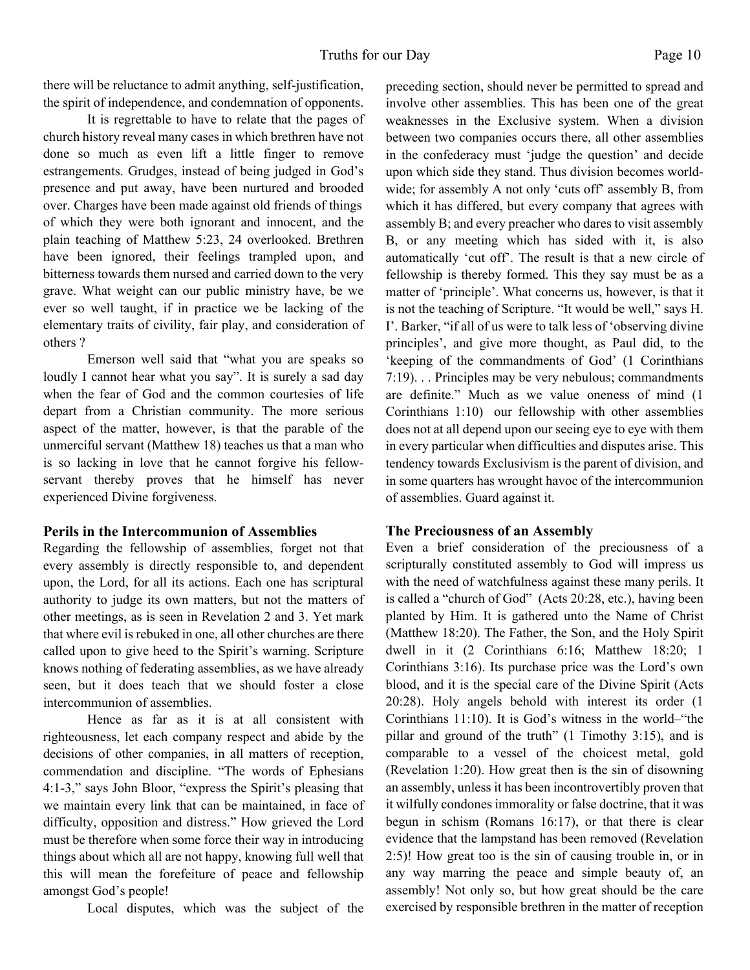there will be reluctance to admit anything, self-justification, the spirit of independence, and condemnation of opponents.

It is regrettable to have to relate that the pages of church history reveal many cases in which brethren have not done so much as even lift a little finger to remove estrangements. Grudges, instead of being judged in God's presence and put away, have been nurtured and brooded over. Charges have been made against old friends of things of which they were both ignorant and innocent, and the plain teaching of Matthew 5:23, 24 overlooked. Brethren have been ignored, their feelings trampled upon, and bitterness towards them nursed and carried down to the very grave. What weight can our public ministry have, be we ever so well taught, if in practice we be lacking of the elementary traits of civility, fair play, and consideration of others ?

Emerson well said that "what you are speaks so loudly I cannot hear what you say". It is surely a sad day when the fear of God and the common courtesies of life depart from a Christian community. The more serious aspect of the matter, however, is that the parable of the unmerciful servant (Matthew 18) teaches us that a man who is so lacking in love that he cannot forgive his fellowservant thereby proves that he himself has never experienced Divine forgiveness.

#### **Perils in the Intercommunion of Assemblies**

Regarding the fellowship of assemblies, forget not that every assembly is directly responsible to, and dependent upon, the Lord, for all its actions. Each one has scriptural authority to judge its own matters, but not the matters of other meetings, as is seen in Revelation 2 and 3. Yet mark that where evil is rebuked in one, all other churches are there called upon to give heed to the Spirit's warning. Scripture knows nothing of federating assemblies, as we have already seen, but it does teach that we should foster a close intercommunion of assemblies.

Hence as far as it is at all consistent with righteousness, let each company respect and abide by the decisions of other companies, in all matters of reception, commendation and discipline. "The words of Ephesians 4:1-3," says John Bloor, "express the Spirit's pleasing that we maintain every link that can be maintained, in face of difficulty, opposition and distress." How grieved the Lord must be therefore when some force their way in introducing things about which all are not happy, knowing full well that this will mean the forefeiture of peace and fellowship amongst God's people!

Local disputes, which was the subject of the

preceding section, should never be permitted to spread and involve other assemblies. This has been one of the great weaknesses in the Exclusive system. When a division between two companies occurs there, all other assemblies in the confederacy must 'judge the question' and decide upon which side they stand. Thus division becomes worldwide; for assembly A not only 'cuts off' assembly B, from which it has differed, but every company that agrees with assembly B; and every preacher who dares to visit assembly B, or any meeting which has sided with it, is also automatically 'cut off'. The result is that a new circle of fellowship is thereby formed. This they say must be as a matter of 'principle'. What concerns us, however, is that it is not the teaching of Scripture. "It would be well," says H. I'. Barker, "if all of us were to talk less of 'observing divine principles', and give more thought, as Paul did, to the 'keeping of the commandments of God' (1 Corinthians 7:19). . . Principles may be very nebulous; commandments are definite." Much as we value oneness of mind (1 Corinthians 1:10) our fellowship with other assemblies does not at all depend upon our seeing eye to eye with them in every particular when difficulties and disputes arise. This tendency towards Exclusivism is the parent of division, and in some quarters has wrought havoc of the intercommunion of assemblies. Guard against it.

#### **The Preciousness of an Assembly**

Even a brief consideration of the preciousness of a scripturally constituted assembly to God will impress us with the need of watchfulness against these many perils. It is called a "church of God" (Acts 20:28, etc.), having been planted by Him. It is gathered unto the Name of Christ (Matthew 18:20). The Father, the Son, and the Holy Spirit dwell in it (2 Corinthians 6:16; Matthew 18:20; 1 Corinthians 3:16). Its purchase price was the Lord's own blood, and it is the special care of the Divine Spirit (Acts 20:28). Holy angels behold with interest its order (1 Corinthians 11:10). It is God's witness in the world–"the pillar and ground of the truth" (1 Timothy 3:15), and is comparable to a vessel of the choicest metal, gold (Revelation 1:20). How great then is the sin of disowning an assembly, unless it has been incontrovertibly proven that it wilfully condones immorality or false doctrine, that it was begun in schism (Romans 16:17), or that there is clear evidence that the lampstand has been removed (Revelation 2:5)! How great too is the sin of causing trouble in, or in any way marring the peace and simple beauty of, an assembly! Not only so, but how great should be the care exercised by responsible brethren in the matter of reception